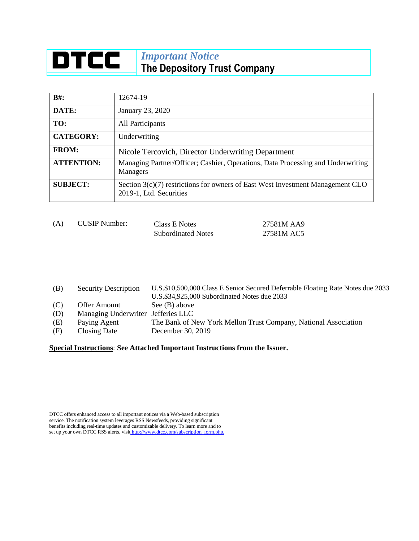## **DTCC** *Important Notice* **The Depository Trust Company**

| $B#$ :            | 12674-19                                                                                                    |  |  |
|-------------------|-------------------------------------------------------------------------------------------------------------|--|--|
| DATE:             | January 23, 2020                                                                                            |  |  |
| TO:               | All Participants                                                                                            |  |  |
| <b>CATEGORY:</b>  | Underwriting                                                                                                |  |  |
| <b>FROM:</b>      | Nicole Tercovich, Director Underwriting Department                                                          |  |  |
| <b>ATTENTION:</b> | Managing Partner/Officer; Cashier, Operations, Data Processing and Underwriting<br>Managers                 |  |  |
| <b>SUBJECT:</b>   | Section $3(c)(7)$ restrictions for owners of East West Investment Management CLO<br>2019-1, Ltd. Securities |  |  |

| (A) | <b>CUSIP Number:</b> | Class E Notes             | 27581M AA9 |
|-----|----------------------|---------------------------|------------|
|     |                      | <b>Subordinated Notes</b> | 27581M AC5 |

(B) Security Description U.S.\$10,500,000 Class E Senior Secured Deferrable Floating Rate Notes due 2033 U.S.\$34,925,000 Subordinated Notes due 2033 (C) Offer Amount See (B) above (D) Managing Underwriter Jefferies LLC (E) Paying Agent The Bank of New York Mellon Trust Company, National Association (F) Closing Date December 30, 2019

**Special Instructions**: **See Attached Important Instructions from the Issuer.**

DTCC offers enhanced access to all important notices via a Web-based subscription service. The notification system leverages RSS Newsfeeds, providing significant benefits including real-time updates and customizable delivery. To learn more and to set up your own DTCC RSS alerts, visit [http://www.dtcc.com/subscription\\_form.php.](http://www.dtcc.com/subscription_form.php.)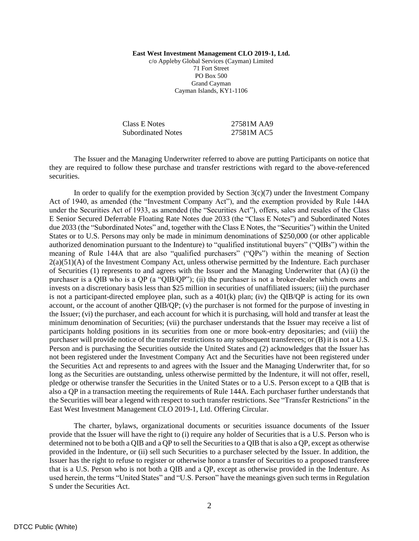**East West Investment Management CLO 2019-1, Ltd.** c/o Appleby Global Services (Cayman) Limited 71 Fort Street PO Box 500 Grand Cayman Cayman Islands, KY1-1106

Class E Notes 27581M AA9 Subordinated Notes 27581M AC5

The Issuer and the Managing Underwriter referred to above are putting Participants on notice that they are required to follow these purchase and transfer restrictions with regard to the above-referenced securities.

In order to qualify for the exemption provided by Section  $3(c)(7)$  under the Investment Company Act of 1940, as amended (the "Investment Company Act"), and the exemption provided by Rule 144A under the Securities Act of 1933, as amended (the "Securities Act"), offers, sales and resales of the Class E Senior Secured Deferrable Floating Rate Notes due 2033 (the "Class E Notes") and Subordinated Notes due 2033 (the "Subordinated Notes" and, together with the Class E Notes, the "Securities") within the United States or to U.S. Persons may only be made in minimum denominations of \$250,000 (or other applicable authorized denomination pursuant to the Indenture) to "qualified institutional buyers" ("QIBs") within the meaning of Rule 144A that are also "qualified purchasers" ("QPs") within the meaning of Section 2(a)(51)(A) of the Investment Company Act, unless otherwise permitted by the Indenture. Each purchaser of Securities (1) represents to and agrees with the Issuer and the Managing Underwriter that (A) (i) the purchaser is a QIB who is a QP (a "QIB/QP"); (ii) the purchaser is not a broker-dealer which owns and invests on a discretionary basis less than \$25 million in securities of unaffiliated issuers; (iii) the purchaser is not a participant-directed employee plan, such as a  $401(k)$  plan; (iv) the QIB/QP is acting for its own account, or the account of another QIB/QP; (v) the purchaser is not formed for the purpose of investing in the Issuer; (vi) the purchaser, and each account for which it is purchasing, will hold and transfer at least the minimum denomination of Securities; (vii) the purchaser understands that the Issuer may receive a list of participants holding positions in its securities from one or more book-entry depositaries; and (viii) the purchaser will provide notice of the transfer restrictions to any subsequent transferees; or (B) it is not a U.S. Person and is purchasing the Securities outside the United States and (2) acknowledges that the Issuer has not been registered under the Investment Company Act and the Securities have not been registered under the Securities Act and represents to and agrees with the Issuer and the Managing Underwriter that, for so long as the Securities are outstanding, unless otherwise permitted by the Indenture, it will not offer, resell, pledge or otherwise transfer the Securities in the United States or to a U.S. Person except to a QIB that is also a QP in a transaction meeting the requirements of Rule 144A. Each purchaser further understands that the Securities will bear a legend with respect to such transfer restrictions. See "Transfer Restrictions" in the East West Investment Management CLO 2019-1, Ltd. Offering Circular.

The charter, bylaws, organizational documents or securities issuance documents of the Issuer provide that the Issuer will have the right to (i) require any holder of Securities that is a U.S. Person who is determined not to be both a QIB and a QP to sell the Securities to a QIB that is also a QP, except as otherwise provided in the Indenture, or (ii) sell such Securities to a purchaser selected by the Issuer. In addition, the Issuer has the right to refuse to register or otherwise honor a transfer of Securities to a proposed transferee that is a U.S. Person who is not both a QIB and a QP, except as otherwise provided in the Indenture. As used herein, the terms "United States" and "U.S. Person" have the meanings given such terms in Regulation S under the Securities Act.